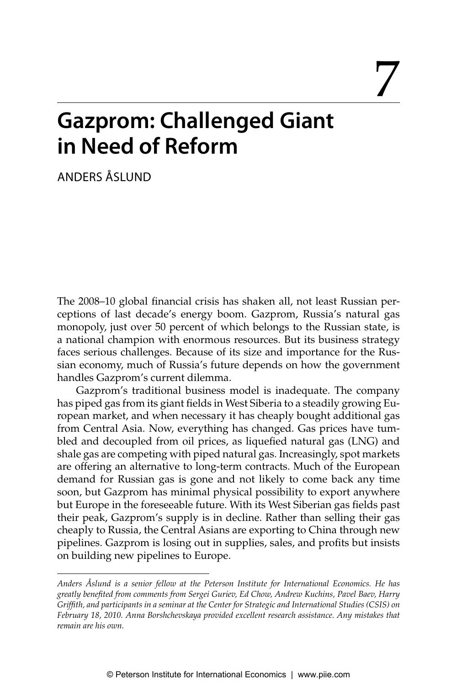# $\frac{1}{\sqrt{2}}$

## **Gazprom: Challenged Giant in Need of Reform**

Anders Åslund

The 2008–10 global financial crisis has shaken all, not least Russian perceptions of last decade's energy boom. Gazprom, Russia's natural gas monopoly, just over 50 percent of which belongs to the Russian state, is a national champion with enormous resources. But its business strategy faces serious challenges. Because of its size and importance for the Russian economy, much of Russia's future depends on how the government handles Gazprom's current dilemma.

Gazprom's traditional business model is inadequate. The company has piped gas from its giant fields in West Siberia to a steadily growing European market, and when necessary it has cheaply bought additional gas from Central Asia. Now, everything has changed. Gas prices have tumbled and decoupled from oil prices, as liquefied natural gas (LNG) and shale gas are competing with piped natural gas. Increasingly, spot markets are offering an alternative to long-term contracts. Much of the European demand for Russian gas is gone and not likely to come back any time soon, but Gazprom has minimal physical possibility to export anywhere but Europe in the foreseeable future. With its West Siberian gas fields past their peak, Gazprom's supply is in decline. Rather than selling their gas cheaply to Russia, the Central Asians are exporting to China through new pipelines. Gazprom is losing out in supplies, sales, and profits but insists on building new pipelines to Europe.

*Anders Åslund is a senior fellow at the Peterson Institute for International Economics. He has greatly benefited from comments from Sergei Guriev, Ed Chow, Andrew Kuchins, Pavel Baev, Harry Griffith, and participants in a seminar at the Center for Strategic and International Studies (CSIS) on February 18, 2010. Anna Borshchevskaya provided excellent research assistance. Any mistakes that remain are his own.*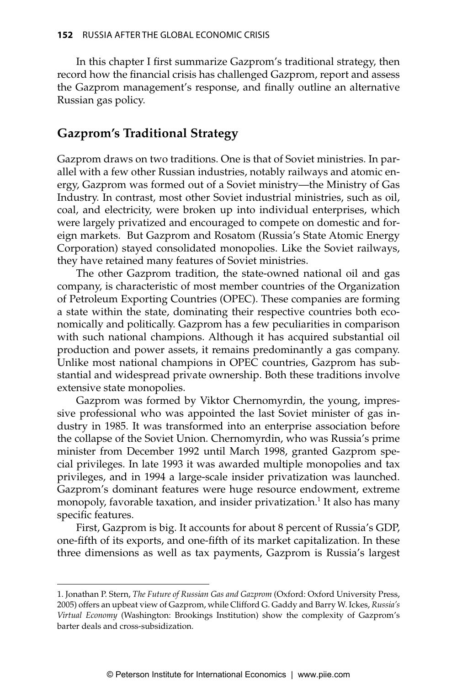In this chapter I first summarize Gazprom's traditional strategy, then record how the financial crisis has challenged Gazprom, report and assess the Gazprom management's response, and finally outline an alternative Russian gas policy.

### **Gazprom's Traditional Strategy**

Gazprom draws on two traditions. One is that of Soviet ministries. In parallel with a few other Russian industries, notably railways and atomic energy, Gazprom was formed out of a Soviet ministry—the Ministry of Gas Industry. In contrast, most other Soviet industrial ministries, such as oil, coal, and electricity, were broken up into individual enterprises, which were largely privatized and encouraged to compete on domestic and foreign markets. But Gazprom and Rosatom (Russia's State Atomic Energy Corporation) stayed consolidated monopolies. Like the Soviet railways, they have retained many features of Soviet ministries.

The other Gazprom tradition, the state-owned national oil and gas company, is characteristic of most member countries of the Organization of Petroleum Exporting Countries (OPEC). These companies are forming a state within the state, dominating their respective countries both economically and politically. Gazprom has a few peculiarities in comparison with such national champions. Although it has acquired substantial oil production and power assets, it remains predominantly a gas company. Unlike most national champions in OPEC countries, Gazprom has substantial and widespread private ownership. Both these traditions involve extensive state monopolies.

Gazprom was formed by Viktor Chernomyrdin, the young, impressive professional who was appointed the last Soviet minister of gas industry in 1985. It was transformed into an enterprise association before the collapse of the Soviet Union. Chernomyrdin, who was Russia's prime minister from December 1992 until March 1998, granted Gazprom special privileges. In late 1993 it was awarded multiple monopolies and tax privileges, and in 1994 a large-scale insider privatization was launched. Gazprom's dominant features were huge resource endowment, extreme monopoly, favorable taxation, and insider privatization.<sup>1</sup> It also has many specific features.

First, Gazprom is big. It accounts for about 8 percent of Russia's GDP, one-fifth of its exports, and one-fifth of its market capitalization. In these three dimensions as well as tax payments, Gazprom is Russia's largest

<sup>1.</sup> Jonathan P. Stern, *The Future of Russian Gas and Gazprom* (Oxford: Oxford University Press, 2005) offers an upbeat view of Gazprom, while Clifford G. Gaddy and Barry W. Ickes, *Russia's Virtual Economy* (Washington: Brookings Institution) show the complexity of Gazprom's barter deals and cross-subsidization.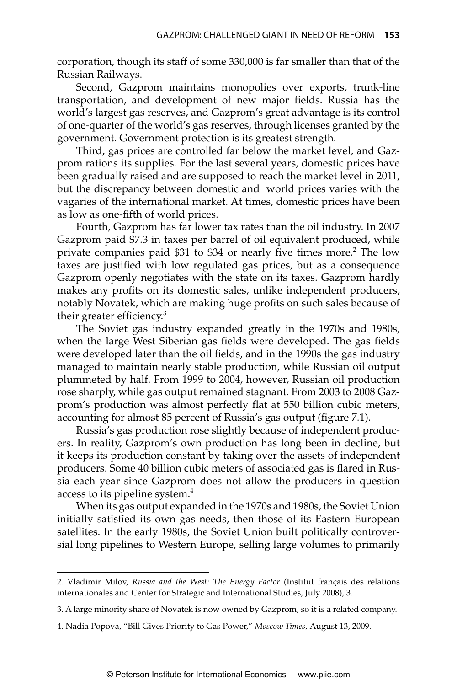corporation, though its staff of some 330,000 is far smaller than that of the Russian Railways.

Second, Gazprom maintains monopolies over exports, trunk-line transportation, and development of new major fields. Russia has the world's largest gas reserves, and Gazprom's great advantage is its control of one-quarter of the world's gas reserves, through licenses granted by the government. Government protection is its greatest strength.

Third, gas prices are controlled far below the market level, and Gazprom rations its supplies. For the last several years, domestic prices have been gradually raised and are supposed to reach the market level in 2011, but the discrepancy between domestic and world prices varies with the vagaries of the international market. At times, domestic prices have been as low as one-fifth of world prices.

Fourth, Gazprom has far lower tax rates than the oil industry. In 2007 Gazprom paid \$7.3 in taxes per barrel of oil equivalent produced, while private companies paid \$31 to \$34 or nearly five times more.<sup>2</sup> The low taxes are justified with low regulated gas prices, but as a consequence Gazprom openly negotiates with the state on its taxes. Gazprom hardly makes any profits on its domestic sales, unlike independent producers, notably Novatek, which are making huge profits on such sales because of their greater efficiency.3

The Soviet gas industry expanded greatly in the 1970s and 1980s, when the large West Siberian gas fields were developed. The gas fields were developed later than the oil fields, and in the 1990s the gas industry managed to maintain nearly stable production, while Russian oil output plummeted by half. From 1999 to 2004, however, Russian oil production rose sharply, while gas output remained stagnant. From 2003 to 2008 Gazprom's production was almost perfectly flat at 550 billion cubic meters, accounting for almost 85 percent of Russia's gas output (figure 7.1).

Russia's gas production rose slightly because of independent producers. In reality, Gazprom's own production has long been in decline, but it keeps its production constant by taking over the assets of independent producers. Some 40 billion cubic meters of associated gas is flared in Russia each year since Gazprom does not allow the producers in question access to its pipeline system.<sup>4</sup>

When its gas output expanded in the 1970s and 1980s, the Soviet Union initially satisfied its own gas needs, then those of its Eastern European satellites. In the early 1980s, the Soviet Union built politically controversial long pipelines to Western Europe, selling large volumes to primarily

<sup>2.</sup> Vladimir Milov, *Russia and the West: The Energy Factor* (Institut français des relations internationales and Center for Strategic and International Studies, July 2008), 3.

<sup>3.</sup> A large minority share of Novatek is now owned by Gazprom, so it is a related company.

<sup>4.</sup> Nadia Popova, "Bill Gives Priority to Gas Power," *Moscow Times,* August 13, 2009.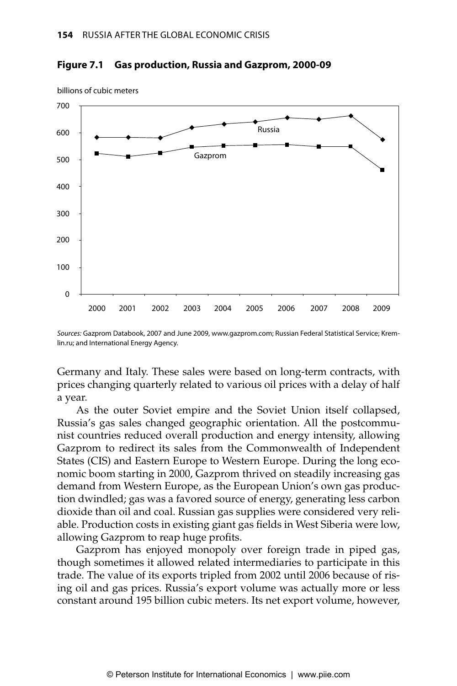

**Figure 7.1 Gas production, Russia and Gazprom, 2000-09**

Germany and Italy. These sales were based on long-term contracts, with prices changing quarterly related to various oil prices with a delay of half a year.

As the outer Soviet empire and the Soviet Union itself collapsed, Russia's gas sales changed geographic orientation. All the postcommunist countries reduced overall production and energy intensity, allowing Gazprom to redirect its sales from the Commonwealth of Independent States (CIS) and Eastern Europe to Western Europe. During the long economic boom starting in 2000, Gazprom thrived on steadily increasing gas demand from Western Europe, as the European Union's own gas production dwindled; gas was a favored source of energy, generating less carbon dioxide than oil and coal. Russian gas supplies were considered very reliable. Production costs in existing giant gas fields in West Siberia were low, allowing Gazprom to reap huge profits.

Gazprom has enjoyed monopoly over foreign trade in piped gas, though sometimes it allowed related intermediaries to participate in this trade. The value of its exports tripled from 2002 until 2006 because of rising oil and gas prices. Russia's export volume was actually more or less constant around 195 billion cubic meters. Its net export volume, however,

*Sources:* Gazprom Databook, 2007 and June 2009, www.gazprom.com; Russian Federal Statistical Service; Kremlin.ru; and International Energy Agency.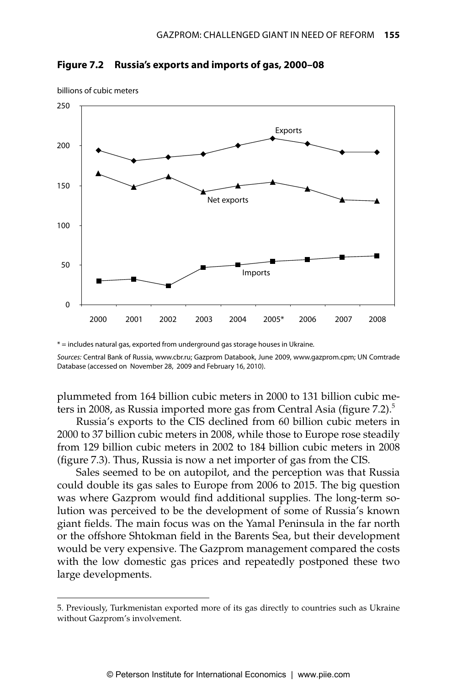

**Figure 7.2 Russia's exports and imports of gas, 2000–08**

\* = includes natural gas, exported from underground gas storage houses in ukraine.

*Sources:* Central Bank of Russia, www.cbr.ru; Gazprom Databook, June 2009, www.gazprom.cpm; uN Comtrade Database (accessed on November 28, 2009 and february 16, 2010).

plummeted from 164 billion cubic meters in 2000 to 131 billion cubic meters in 2008, as Russia imported more gas from Central Asia (figure  $7.2$ ).<sup>5</sup>

Russia's exports to the CIS declined from 60 billion cubic meters in 2000 to 37 billion cubic meters in 2008, while those to Europe rose steadily from 129 billion cubic meters in 2002 to 184 billion cubic meters in 2008 (figure 7.3). Thus, Russia is now a net importer of gas from the CIS.

Sales seemed to be on autopilot, and the perception was that Russia could double its gas sales to Europe from 2006 to 2015. The big question was where Gazprom would find additional supplies. The long-term solution was perceived to be the development of some of Russia's known giant fields. The main focus was on the Yamal Peninsula in the far north or the offshore Shtokman field in the Barents Sea, but their development would be very expensive. The Gazprom management compared the costs with the low domestic gas prices and repeatedly postponed these two large developments.

<sup>5.</sup> Previously, Turkmenistan exported more of its gas directly to countries such as Ukraine without Gazprom's involvement.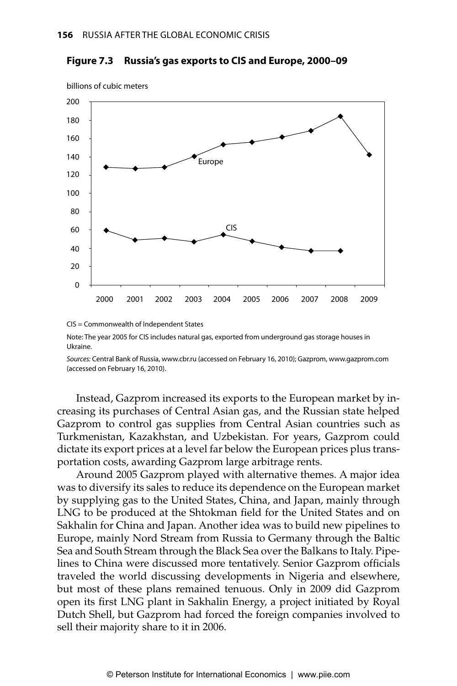

**Figure 7.3 Russia's gas exports to CIS and Europe, 2000–09**

CIS = Commonwealth of Independent States

Note: The year 2005 for CIS includes natural gas, exported from underground gas storage houses in Ukraine.

*Sources:* Central Bank of Russia, www.cbr.ru (accessed on February 16, 2010); Gazprom, www.gazprom.com (accessed on February 16, 2010).

Instead, Gazprom increased its exports to the European market by increasing its purchases of Central Asian gas, and the Russian state helped Gazprom to control gas supplies from Central Asian countries such as Turkmenistan, Kazakhstan, and Uzbekistan. For years, Gazprom could dictate its export prices at a level far below the European prices plus transportation costs, awarding Gazprom large arbitrage rents.

Around 2005 Gazprom played with alternative themes. A major idea was to diversify its sales to reduce its dependence on the European market by supplying gas to the United States, China, and Japan, mainly through LNG to be produced at the Shtokman field for the United States and on Sakhalin for China and Japan. Another idea was to build new pipelines to Europe, mainly Nord Stream from Russia to Germany through the Baltic Sea and South Stream through the Black Sea over the Balkans to Italy. Pipelines to China were discussed more tentatively. Senior Gazprom officials traveled the world discussing developments in Nigeria and elsewhere, but most of these plans remained tenuous. Only in 2009 did Gazprom open its first LNG plant in Sakhalin Energy, a project initiated by Royal Dutch Shell, but Gazprom had forced the foreign companies involved to sell their majority share to it in 2006.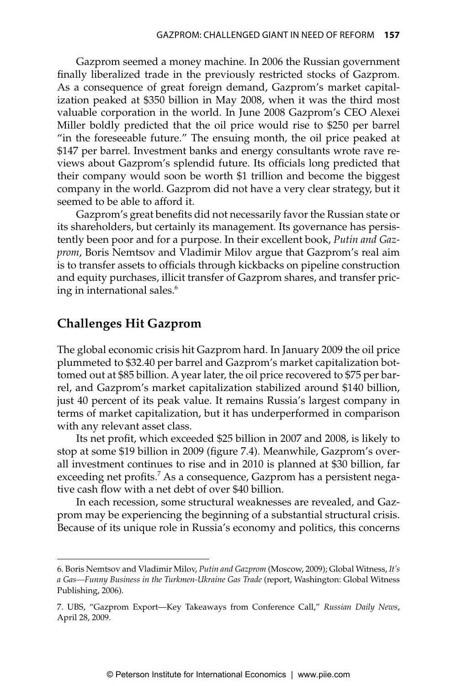Gazprom seemed a money machine. In 2006 the Russian government finally liberalized trade in the previously restricted stocks of Gazprom. As a consequence of great foreign demand, Gazprom's market capitalization peaked at \$350 billion in May 2008, when it was the third most valuable corporation in the world. In June 2008 Gazprom's CEO Alexei Miller boldly predicted that the oil price would rise to \$250 per barrel "in the foreseeable future." The ensuing month, the oil price peaked at \$147 per barrel. Investment banks and energy consultants wrote rave reviews about Gazprom's splendid future. Its officials long predicted that their company would soon be worth \$1 trillion and become the biggest company in the world. Gazprom did not have a very clear strategy, but it seemed to be able to afford it.

Gazprom's great benefits did not necessarily favor the Russian state or its shareholders, but certainly its management. Its governance has persistently been poor and for a purpose. In their excellent book, *Putin and Gazprom*, Boris Nemtsov and Vladimir Milov argue that Gazprom's real aim is to transfer assets to officials through kickbacks on pipeline construction and equity purchases, illicit transfer of Gazprom shares, and transfer pricing in international sales.<sup>6</sup>

#### **Challenges Hit Gazprom**

The global economic crisis hit Gazprom hard. In January 2009 the oil price plummeted to \$32.40 per barrel and Gazprom's market capitalization bottomed out at \$85 billion. A year later, the oil price recovered to \$75 per barrel, and Gazprom's market capitalization stabilized around \$140 billion, just 40 percent of its peak value. It remains Russia's largest company in terms of market capitalization, but it has underperformed in comparison with any relevant asset class.

Its net profit, which exceeded \$25 billion in 2007 and 2008, is likely to stop at some \$19 billion in 2009 (figure 7.4). Meanwhile, Gazprom's overall investment continues to rise and in 2010 is planned at \$30 billion, far exceeding net profits.<sup>7</sup> As a consequence, Gazprom has a persistent negative cash flow with a net debt of over \$40 billion.

In each recession, some structural weaknesses are revealed, and Gazprom may be experiencing the beginning of a substantial structural crisis. Because of its unique role in Russia's economy and politics, this concerns

<sup>6.</sup> Boris Nemtsov and Vladimir Milov, *Putin and Gazprom* (Moscow, 2009); Global Witness, *It's a Gas—Funny Business in the Turkmen-Ukraine Gas Trade* (report, Washington: Global Witness Publishing, 2006).

<sup>7.</sup> UBS, "Gazprom Export—Key Takeaways from Conference Call," *Russian Daily News*, April 28, 2009.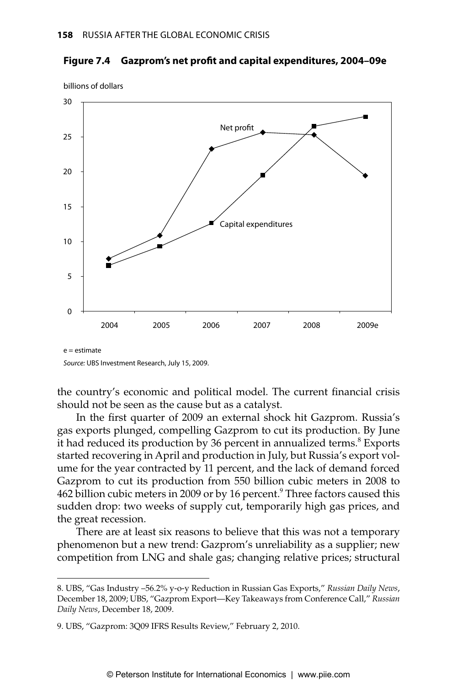

**Figure 7. Gazprom's net profit and capital expenditures, 200–09e**

e = estimate

*Source:* uBS investment Research, July 15, 2009.

the country's economic and political model. The current financial crisis should not be seen as the cause but as a catalyst.

In the first quarter of 2009 an external shock hit Gazprom. Russia's gas exports plunged, compelling Gazprom to cut its production. By June it had reduced its production by 36 percent in annualized terms.<sup>8</sup> Exports started recovering in April and production in July, but Russia's export volume for the year contracted by 11 percent, and the lack of demand forced Gazprom to cut its production from 550 billion cubic meters in 2008 to 462 billion cubic meters in 2009 or by 16 percent.<sup>9</sup> Three factors caused this sudden drop: two weeks of supply cut, temporarily high gas prices, and the great recession.

There are at least six reasons to believe that this was not a temporary phenomenon but a new trend: Gazprom's unreliability as a supplier; new competition from LNG and shale gas; changing relative prices; structural

<sup>8.</sup> UBS, "Gas Industry –56.2% y-o-y Reduction in Russian Gas Exports," *Russian Daily News*, December 18, 2009; UBS, "Gazprom Export—Key Takeaways from Conference Call," *Russian Daily News*, December 18, 2009.

<sup>9.</sup> UBS, "Gazprom: 3Q09 IFRS Results Review," February 2, 2010.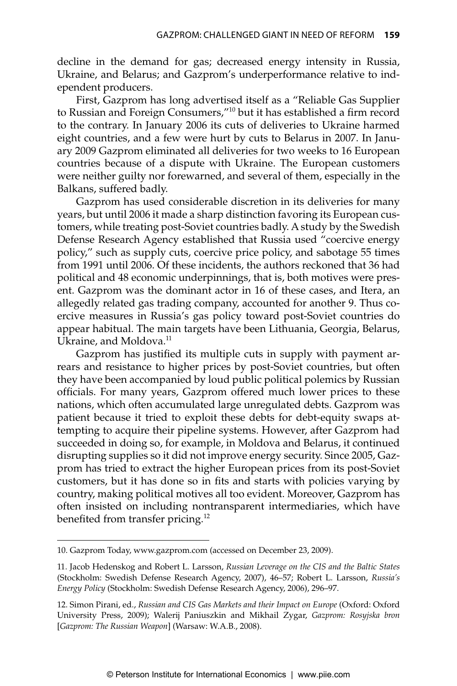decline in the demand for gas; decreased energy intensity in Russia, Ukraine, and Belarus; and Gazprom's underperformance relative to independent producers.

First, Gazprom has long advertised itself as a "Reliable Gas Supplier to Russian and Foreign Consumers,"10 but it has established a firm record to the contrary. In January 2006 its cuts of deliveries to Ukraine harmed eight countries, and a few were hurt by cuts to Belarus in 2007. In January 2009 Gazprom eliminated all deliveries for two weeks to 16 European countries because of a dispute with Ukraine. The European customers were neither guilty nor forewarned, and several of them, especially in the Balkans, suffered badly.

Gazprom has used considerable discretion in its deliveries for many years, but until 2006 it made a sharp distinction favoring its European customers, while treating post-Soviet countries badly. A study by the Swedish Defense Research Agency established that Russia used "coercive energy policy," such as supply cuts, coercive price policy, and sabotage 55 times from 1991 until 2006. Of these incidents, the authors reckoned that 36 had political and 48 economic underpinnings, that is, both motives were present. Gazprom was the dominant actor in 16 of these cases, and Itera, an allegedly related gas trading company, accounted for another 9. Thus coercive measures in Russia's gas policy toward post-Soviet countries do appear habitual. The main targets have been Lithuania, Georgia, Belarus, Ukraine, and Moldova.<sup>11</sup>

Gazprom has justified its multiple cuts in supply with payment arrears and resistance to higher prices by post-Soviet countries, but often they have been accompanied by loud public political polemics by Russian officials. For many years, Gazprom offered much lower prices to these nations, which often accumulated large unregulated debts. Gazprom was patient because it tried to exploit these debts for debt-equity swaps attempting to acquire their pipeline systems. However, after Gazprom had succeeded in doing so, for example, in Moldova and Belarus, it continued disrupting supplies so it did not improve energy security. Since 2005, Gazprom has tried to extract the higher European prices from its post-Soviet customers, but it has done so in fits and starts with policies varying by country, making political motives all too evident. Moreover, Gazprom has often insisted on including nontransparent intermediaries, which have benefited from transfer pricing.<sup>12</sup>

<sup>10.</sup> Gazprom Today, www.gazprom.com (accessed on December 23, 2009).

<sup>11.</sup> Jacob Hedenskog and Robert L. Larsson, *Russian Leverage on the CIS and the Baltic States* (Stockholm: Swedish Defense Research Agency, 2007), 46–57; Robert L. Larsson, *Russia's Energy Policy* (Stockholm: Swedish Defense Research Agency, 2006), 296–97.

<sup>12.</sup> Simon Pirani, ed., *Russian and CIS Gas Markets and their Impact on Europe* (Oxford: Oxford University Press, 2009); Walerij Paniuszkin and Mikhail Zygar, *Gazprom: Rosyjska bron*  [*Gazprom: The Russian Weapon*] (Warsaw: W.A.B., 2008).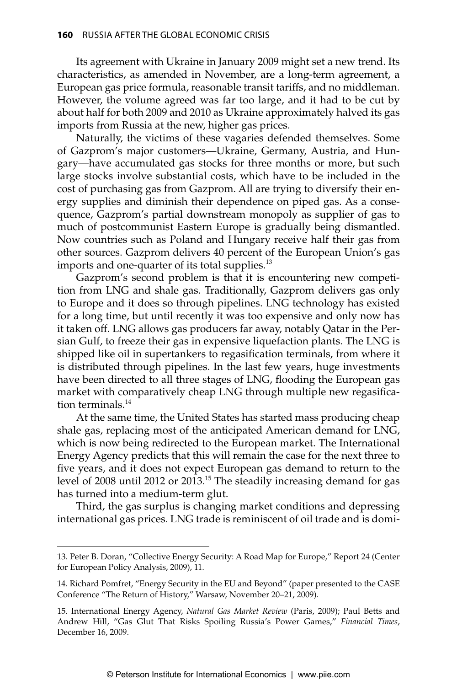Its agreement with Ukraine in January 2009 might set a new trend. Its characteristics, as amended in November, are a long-term agreement, a European gas price formula, reasonable transit tariffs, and no middleman. However, the volume agreed was far too large, and it had to be cut by about half for both 2009 and 2010 as Ukraine approximately halved its gas imports from Russia at the new, higher gas prices.

Naturally, the victims of these vagaries defended themselves. Some of Gazprom's major customers—Ukraine, Germany, Austria, and Hungary—have accumulated gas stocks for three months or more, but such large stocks involve substantial costs, which have to be included in the cost of purchasing gas from Gazprom. All are trying to diversify their energy supplies and diminish their dependence on piped gas. As a consequence, Gazprom's partial downstream monopoly as supplier of gas to much of postcommunist Eastern Europe is gradually being dismantled. Now countries such as Poland and Hungary receive half their gas from other sources. Gazprom delivers 40 percent of the European Union's gas imports and one-quarter of its total supplies.<sup>13</sup>

Gazprom's second problem is that it is encountering new competition from LNG and shale gas. Traditionally, Gazprom delivers gas only to Europe and it does so through pipelines. LNG technology has existed for a long time, but until recently it was too expensive and only now has it taken off. LNG allows gas producers far away, notably Qatar in the Persian Gulf, to freeze their gas in expensive liquefaction plants. The LNG is shipped like oil in supertankers to regasification terminals, from where it is distributed through pipelines. In the last few years, huge investments have been directed to all three stages of LNG, flooding the European gas market with comparatively cheap LNG through multiple new regasification terminals.<sup>14</sup>

At the same time, the United States has started mass producing cheap shale gas, replacing most of the anticipated American demand for LNG, which is now being redirected to the European market. The International Energy Agency predicts that this will remain the case for the next three to five years, and it does not expect European gas demand to return to the level of 2008 until 2012 or 2013.<sup>15</sup> The steadily increasing demand for gas has turned into a medium-term glut.

Third, the gas surplus is changing market conditions and depressing international gas prices. LNG trade is reminiscent of oil trade and is domi-

<sup>13.</sup> Peter B. Doran, "Collective Energy Security: A Road Map for Europe," Report 24 (Center for European Policy Analysis, 2009), 11.

<sup>14.</sup> Richard Pomfret, "Energy Security in the EU and Beyond" (paper presented to the CASE Conference "The Return of History," Warsaw, November 20–21, 2009).

<sup>15.</sup> International Energy Agency, *Natural Gas Market Review* (Paris, 2009); Paul Betts and Andrew Hill, "Gas Glut That Risks Spoiling Russia's Power Games," *Financial Times*, December 16, 2009.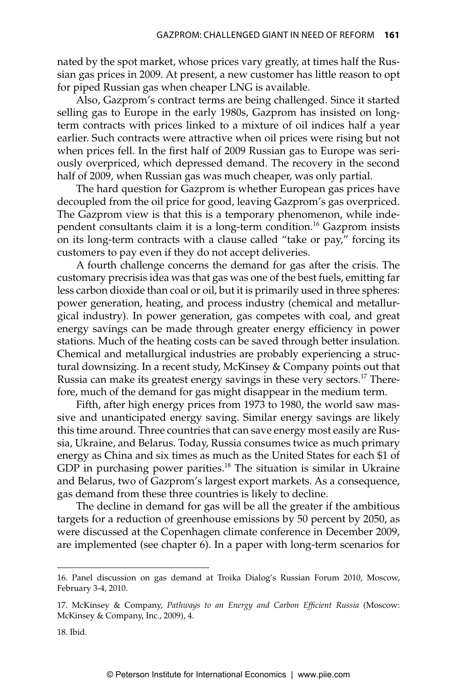nated by the spot market, whose prices vary greatly, at times half the Russian gas prices in 2009. At present, a new customer has little reason to opt for piped Russian gas when cheaper LNG is available.

Also, Gazprom's contract terms are being challenged. Since it started selling gas to Europe in the early 1980s, Gazprom has insisted on longterm contracts with prices linked to a mixture of oil indices half a year earlier. Such contracts were attractive when oil prices were rising but not when prices fell. In the first half of 2009 Russian gas to Europe was seriously overpriced, which depressed demand. The recovery in the second half of 2009, when Russian gas was much cheaper, was only partial.

The hard question for Gazprom is whether European gas prices have decoupled from the oil price for good, leaving Gazprom's gas overpriced. The Gazprom view is that this is a temporary phenomenon, while independent consultants claim it is a long-term condition.16 Gazprom insists on its long-term contracts with a clause called "take or pay," forcing its customers to pay even if they do not accept deliveries.

A fourth challenge concerns the demand for gas after the crisis. The customary precrisis idea was that gas was one of the best fuels, emitting far less carbon dioxide than coal or oil, but it is primarily used in three spheres: power generation, heating, and process industry (chemical and metallurgical industry). In power generation, gas competes with coal, and great energy savings can be made through greater energy efficiency in power stations. Much of the heating costs can be saved through better insulation. Chemical and metallurgical industries are probably experiencing a structural downsizing. In a recent study, McKinsey & Company points out that Russia can make its greatest energy savings in these very sectors.<sup>17</sup> Therefore, much of the demand for gas might disappear in the medium term.

Fifth, after high energy prices from 1973 to 1980, the world saw massive and unanticipated energy saving. Similar energy savings are likely this time around. Three countries that can save energy most easily are Russia, Ukraine, and Belarus. Today, Russia consumes twice as much primary energy as China and six times as much as the United States for each \$1 of GDP in purchasing power parities.<sup>18</sup> The situation is similar in Ukraine and Belarus, two of Gazprom's largest export markets. As a consequence, gas demand from these three countries is likely to decline.

The decline in demand for gas will be all the greater if the ambitious targets for a reduction of greenhouse emissions by 50 percent by 2050, as were discussed at the Copenhagen climate conference in December 2009, are implemented (see chapter 6). In a paper with long-term scenarios for

<sup>16.</sup> Panel discussion on gas demand at Troika Dialog's Russian Forum 2010, Moscow, February 3-4, 2010.

<sup>17.</sup> McKinsey & Company, *Pathways to an Energy and Carbon Efficient Russia* (Moscow: McKinsey & Company, Inc., 2009), 4.

<sup>18.</sup> Ibid.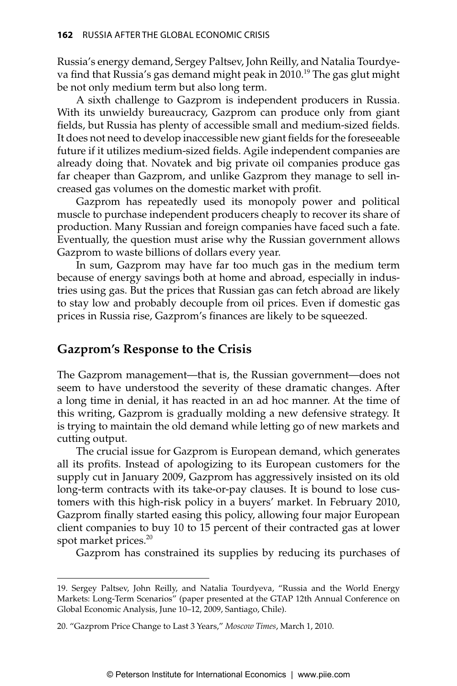Russia's energy demand, Sergey Paltsev, John Reilly, and Natalia Tourdyeva find that Russia's gas demand might peak in 2010.<sup>19</sup> The gas glut might be not only medium term but also long term.

A sixth challenge to Gazprom is independent producers in Russia. With its unwieldy bureaucracy, Gazprom can produce only from giant fields, but Russia has plenty of accessible small and medium-sized fields. It does not need to develop inaccessible new giant fields for the foreseeable future if it utilizes medium-sized fields. Agile independent companies are already doing that. Novatek and big private oil companies produce gas far cheaper than Gazprom, and unlike Gazprom they manage to sell increased gas volumes on the domestic market with profit.

Gazprom has repeatedly used its monopoly power and political muscle to purchase independent producers cheaply to recover its share of production. Many Russian and foreign companies have faced such a fate. Eventually, the question must arise why the Russian government allows Gazprom to waste billions of dollars every year.

In sum, Gazprom may have far too much gas in the medium term because of energy savings both at home and abroad, especially in industries using gas. But the prices that Russian gas can fetch abroad are likely to stay low and probably decouple from oil prices. Even if domestic gas prices in Russia rise, Gazprom's finances are likely to be squeezed.

#### **Gazprom's Response to the Crisis**

The Gazprom management—that is, the Russian government—does not seem to have understood the severity of these dramatic changes. After a long time in denial, it has reacted in an ad hoc manner. At the time of this writing, Gazprom is gradually molding a new defensive strategy. It is trying to maintain the old demand while letting go of new markets and cutting output.

The crucial issue for Gazprom is European demand, which generates all its profits. Instead of apologizing to its European customers for the supply cut in January 2009, Gazprom has aggressively insisted on its old long-term contracts with its take-or-pay clauses. It is bound to lose customers with this high-risk policy in a buyers' market. In February 2010, Gazprom finally started easing this policy, allowing four major European client companies to buy 10 to 15 percent of their contracted gas at lower spot market prices. $^{20}$ 

Gazprom has constrained its supplies by reducing its purchases of

<sup>19.</sup> Sergey Paltsev, John Reilly, and Natalia Tourdyeva, "Russia and the World Energy Markets: Long-Term Scenarios" (paper presented at the GTAP 12th Annual Conference on Global Economic Analysis, June 10–12, 2009, Santiago, Chile).

<sup>20. &</sup>quot;Gazprom Price Change to Last 3 Years," *Moscow Times*, March 1, 2010.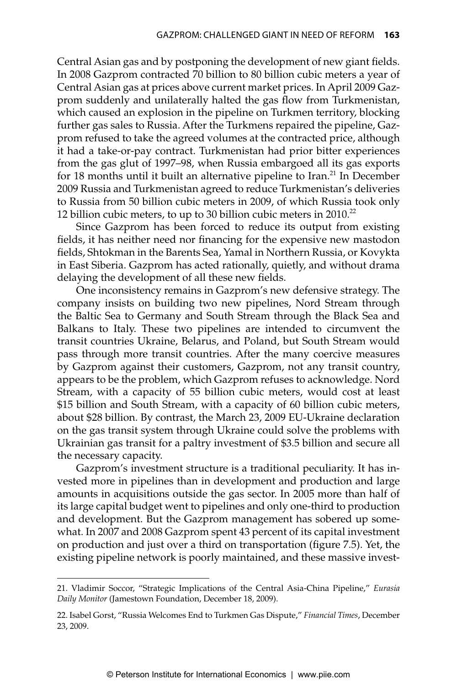Central Asian gas and by postponing the development of new giant fields. In 2008 Gazprom contracted 70 billion to 80 billion cubic meters a year of Central Asian gas at prices above current market prices. In April 2009 Gazprom suddenly and unilaterally halted the gas flow from Turkmenistan, which caused an explosion in the pipeline on Turkmen territory, blocking further gas sales to Russia. After the Turkmens repaired the pipeline, Gazprom refused to take the agreed volumes at the contracted price, although it had a take-or-pay contract. Turkmenistan had prior bitter experiences from the gas glut of 1997–98, when Russia embargoed all its gas exports for 18 months until it built an alternative pipeline to Iran.<sup>21</sup> In December 2009 Russia and Turkmenistan agreed to reduce Turkmenistan's deliveries to Russia from 50 billion cubic meters in 2009, of which Russia took only 12 billion cubic meters, to up to 30 billion cubic meters in 2010.22

Since Gazprom has been forced to reduce its output from existing fields, it has neither need nor financing for the expensive new mastodon fields, Shtokman in the Barents Sea, Yamal in Northern Russia, or Kovykta in East Siberia. Gazprom has acted rationally, quietly, and without drama delaying the development of all these new fields.

One inconsistency remains in Gazprom's new defensive strategy. The company insists on building two new pipelines, Nord Stream through the Baltic Sea to Germany and South Stream through the Black Sea and Balkans to Italy. These two pipelines are intended to circumvent the transit countries Ukraine, Belarus, and Poland, but South Stream would pass through more transit countries. After the many coercive measures by Gazprom against their customers, Gazprom, not any transit country, appears to be the problem, which Gazprom refuses to acknowledge. Nord Stream, with a capacity of 55 billion cubic meters, would cost at least \$15 billion and South Stream, with a capacity of 60 billion cubic meters, about \$28 billion. By contrast, the March 23, 2009 EU-Ukraine declaration on the gas transit system through Ukraine could solve the problems with Ukrainian gas transit for a paltry investment of \$3.5 billion and secure all the necessary capacity.

Gazprom's investment structure is a traditional peculiarity. It has invested more in pipelines than in development and production and large amounts in acquisitions outside the gas sector. In 2005 more than half of its large capital budget went to pipelines and only one-third to production and development. But the Gazprom management has sobered up somewhat. In 2007 and 2008 Gazprom spent 43 percent of its capital investment on production and just over a third on transportation (figure 7.5). Yet, the existing pipeline network is poorly maintained, and these massive invest-

<sup>21.</sup> Vladimir Soccor, "Strategic Implications of the Central Asia-China Pipeline," *Eurasia Daily Monitor* (Jamestown Foundation, December 18, 2009).

<sup>22.</sup> Isabel Gorst, "Russia Welcomes End to Turkmen Gas Dispute," *Financial Times*, December 23, 2009.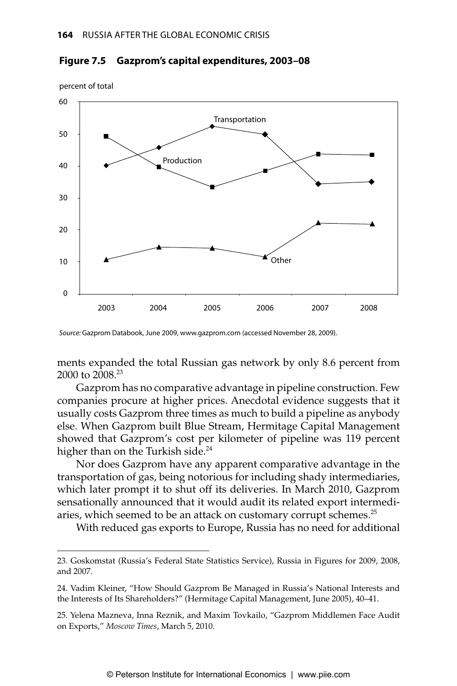

**Figure 7.5 Gazprom's capital expenditures, 2003–08**

ments expanded the total Russian gas network by only 8.6 percent from 2000 to 2008.<sup>23</sup>

Gazprom has no comparative advantage in pipeline construction. Few companies procure at higher prices. Anecdotal evidence suggests that it usually costs Gazprom three times as much to build a pipeline as anybody else. When Gazprom built Blue Stream, Hermitage Capital Management showed that Gazprom's cost per kilometer of pipeline was 119 percent higher than on the Turkish side. $^{24}$ 

Nor does Gazprom have any apparent comparative advantage in the transportation of gas, being notorious for including shady intermediaries, which later prompt it to shut off its deliveries. In March 2010, Gazprom sensationally announced that it would audit its related export intermediaries, which seemed to be an attack on customary corrupt schemes.<sup>25</sup>

With reduced gas exports to Europe, Russia has no need for additional

*Source:* Gazprom Databook, June 2009, www.gazprom.com (accessed November 28, 2009).

<sup>23.</sup> Goskomstat (Russia's Federal State Statistics Service), Russia in Figures for 2009, 2008, and 2007.

<sup>24.</sup> Vadim Kleiner, "How Should Gazprom Be Managed in Russia's National Interests and the Interests of Its Shareholders?" (Hermitage Capital Management, June 2005), 40–41.

<sup>25.</sup> Yelena Mazneva, Inna Reznik, and Maxim Tovkailo, "Gazprom Middlemen Face Audit on Exports," Moscow Times, March 5, 2010.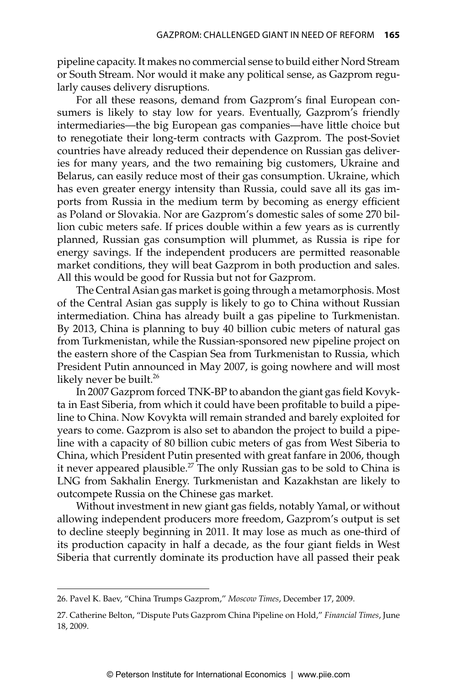pipeline capacity. It makes no commercial sense to build either Nord Stream or South Stream. Nor would it make any political sense, as Gazprom regularly causes delivery disruptions.

For all these reasons, demand from Gazprom's final European consumers is likely to stay low for years. Eventually, Gazprom's friendly intermediaries—the big European gas companies—have little choice but to renegotiate their long-term contracts with Gazprom. The post-Soviet countries have already reduced their dependence on Russian gas deliveries for many years, and the two remaining big customers, Ukraine and Belarus, can easily reduce most of their gas consumption. Ukraine, which has even greater energy intensity than Russia, could save all its gas imports from Russia in the medium term by becoming as energy efficient as Poland or Slovakia. Nor are Gazprom's domestic sales of some 270 billion cubic meters safe. If prices double within a few years as is currently planned, Russian gas consumption will plummet, as Russia is ripe for energy savings. If the independent producers are permitted reasonable market conditions, they will beat Gazprom in both production and sales. All this would be good for Russia but not for Gazprom.

The Central Asian gas market is going through a metamorphosis. Most of the Central Asian gas supply is likely to go to China without Russian intermediation. China has already built a gas pipeline to Turkmenistan. By 2013, China is planning to buy 40 billion cubic meters of natural gas from Turkmenistan, while the Russian-sponsored new pipeline project on the eastern shore of the Caspian Sea from Turkmenistan to Russia, which President Putin announced in May 2007, is going nowhere and will most likely never be built.<sup>26</sup>

In 2007 Gazprom forced TNK-BP to abandon the giant gas field Kovykta in East Siberia, from which it could have been profitable to build a pipeline to China. Now Kovykta will remain stranded and barely exploited for years to come. Gazprom is also set to abandon the project to build a pipeline with a capacity of 80 billion cubic meters of gas from West Siberia to China, which President Putin presented with great fanfare in 2006, though it never appeared plausible.<sup>27</sup> The only Russian gas to be sold to China is LNG from Sakhalin Energy. Turkmenistan and Kazakhstan are likely to outcompete Russia on the Chinese gas market.

Without investment in new giant gas fields, notably Yamal, or without allowing independent producers more freedom, Gazprom's output is set to decline steeply beginning in 2011. It may lose as much as one-third of its production capacity in half a decade, as the four giant fields in West Siberia that currently dominate its production have all passed their peak

<sup>26.</sup> Pavel K. Baev, "China Trumps Gazprom," *Moscow Times*, December 17, 2009.

<sup>27.</sup> Catherine Belton, "Dispute Puts Gazprom China Pipeline on Hold," *Financial Times*, June 18, 2009.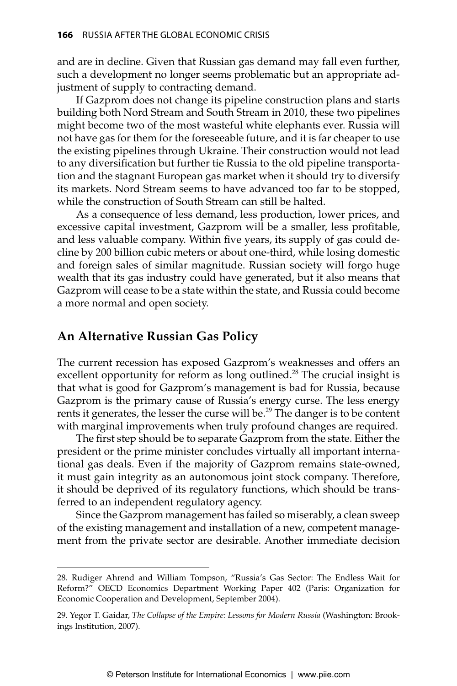and are in decline. Given that Russian gas demand may fall even further, such a development no longer seems problematic but an appropriate adjustment of supply to contracting demand.

If Gazprom does not change its pipeline construction plans and starts building both Nord Stream and South Stream in 2010, these two pipelines might become two of the most wasteful white elephants ever. Russia will not have gas for them for the foreseeable future, and it is far cheaper to use the existing pipelines through Ukraine. Their construction would not lead to any diversification but further tie Russia to the old pipeline transportation and the stagnant European gas market when it should try to diversify its markets. Nord Stream seems to have advanced too far to be stopped, while the construction of South Stream can still be halted.

As a consequence of less demand, less production, lower prices, and excessive capital investment, Gazprom will be a smaller, less profitable, and less valuable company. Within five years, its supply of gas could decline by 200 billion cubic meters or about one-third, while losing domestic and foreign sales of similar magnitude. Russian society will forgo huge wealth that its gas industry could have generated, but it also means that Gazprom will cease to be a state within the state, and Russia could become a more normal and open society.

#### **An Alternative Russian Gas Policy**

The current recession has exposed Gazprom's weaknesses and offers an excellent opportunity for reform as long outlined.<sup>28</sup> The crucial insight is that what is good for Gazprom's management is bad for Russia, because Gazprom is the primary cause of Russia's energy curse. The less energy rents it generates, the lesser the curse will be. $^{29}$  The danger is to be content with marginal improvements when truly profound changes are required.

The first step should be to separate Gazprom from the state. Either the president or the prime minister concludes virtually all important international gas deals. Even if the majority of Gazprom remains state-owned, it must gain integrity as an autonomous joint stock company. Therefore, it should be deprived of its regulatory functions, which should be transferred to an independent regulatory agency.

Since the Gazprom management has failed so miserably, a clean sweep of the existing management and installation of a new, competent management from the private sector are desirable. Another immediate decision

<sup>28.</sup> Rudiger Ahrend and William Tompson, "Russia's Gas Sector: The Endless Wait for Reform?" OECD Economics Department Working Paper 402 (Paris: Organization for Economic Cooperation and Development, September 2004).

<sup>29.</sup> Yegor T. Gaidar, *The Collapse of the Empire: Lessons for Modern Russia* (Washington: Brookings Institution, 2007).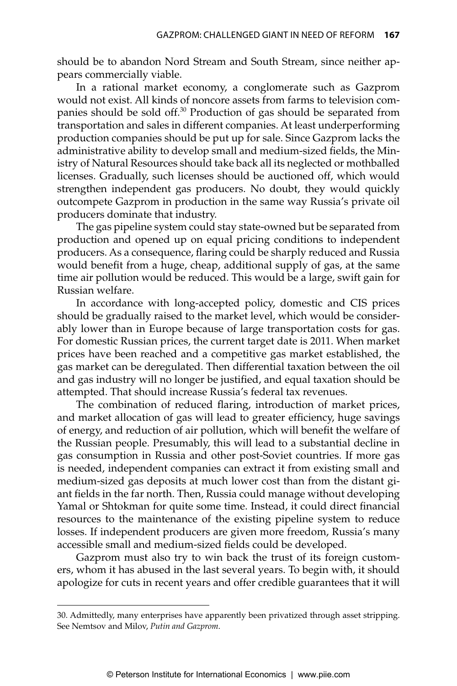should be to abandon Nord Stream and South Stream, since neither appears commercially viable.

In a rational market economy, a conglomerate such as Gazprom would not exist. All kinds of noncore assets from farms to television companies should be sold off.30 Production of gas should be separated from transportation and sales in different companies. At least underperforming production companies should be put up for sale. Since Gazprom lacks the administrative ability to develop small and medium-sized fields, the Ministry of Natural Resources should take back all its neglected or mothballed licenses. Gradually, such licenses should be auctioned off, which would strengthen independent gas producers. No doubt, they would quickly outcompete Gazprom in production in the same way Russia's private oil producers dominate that industry.

The gas pipeline system could stay state-owned but be separated from production and opened up on equal pricing conditions to independent producers. As a consequence, flaring could be sharply reduced and Russia would benefit from a huge, cheap, additional supply of gas, at the same time air pollution would be reduced. This would be a large, swift gain for Russian welfare.

In accordance with long-accepted policy, domestic and CIS prices should be gradually raised to the market level, which would be considerably lower than in Europe because of large transportation costs for gas. For domestic Russian prices, the current target date is 2011. When market prices have been reached and a competitive gas market established, the gas market can be deregulated. Then differential taxation between the oil and gas industry will no longer be justified, and equal taxation should be attempted. That should increase Russia's federal tax revenues.

The combination of reduced flaring, introduction of market prices, and market allocation of gas will lead to greater efficiency, huge savings of energy, and reduction of air pollution, which will benefit the welfare of the Russian people. Presumably, this will lead to a substantial decline in gas consumption in Russia and other post-Soviet countries. If more gas is needed, independent companies can extract it from existing small and medium-sized gas deposits at much lower cost than from the distant giant fields in the far north. Then, Russia could manage without developing Yamal or Shtokman for quite some time. Instead, it could direct financial resources to the maintenance of the existing pipeline system to reduce losses. If independent producers are given more freedom, Russia's many accessible small and medium-sized fields could be developed.

Gazprom must also try to win back the trust of its foreign customers, whom it has abused in the last several years. To begin with, it should apologize for cuts in recent years and offer credible guarantees that it will

<sup>30.</sup> Admittedly, many enterprises have apparently been privatized through asset stripping. See Nemtsov and Milov, *Putin and Gazprom*.